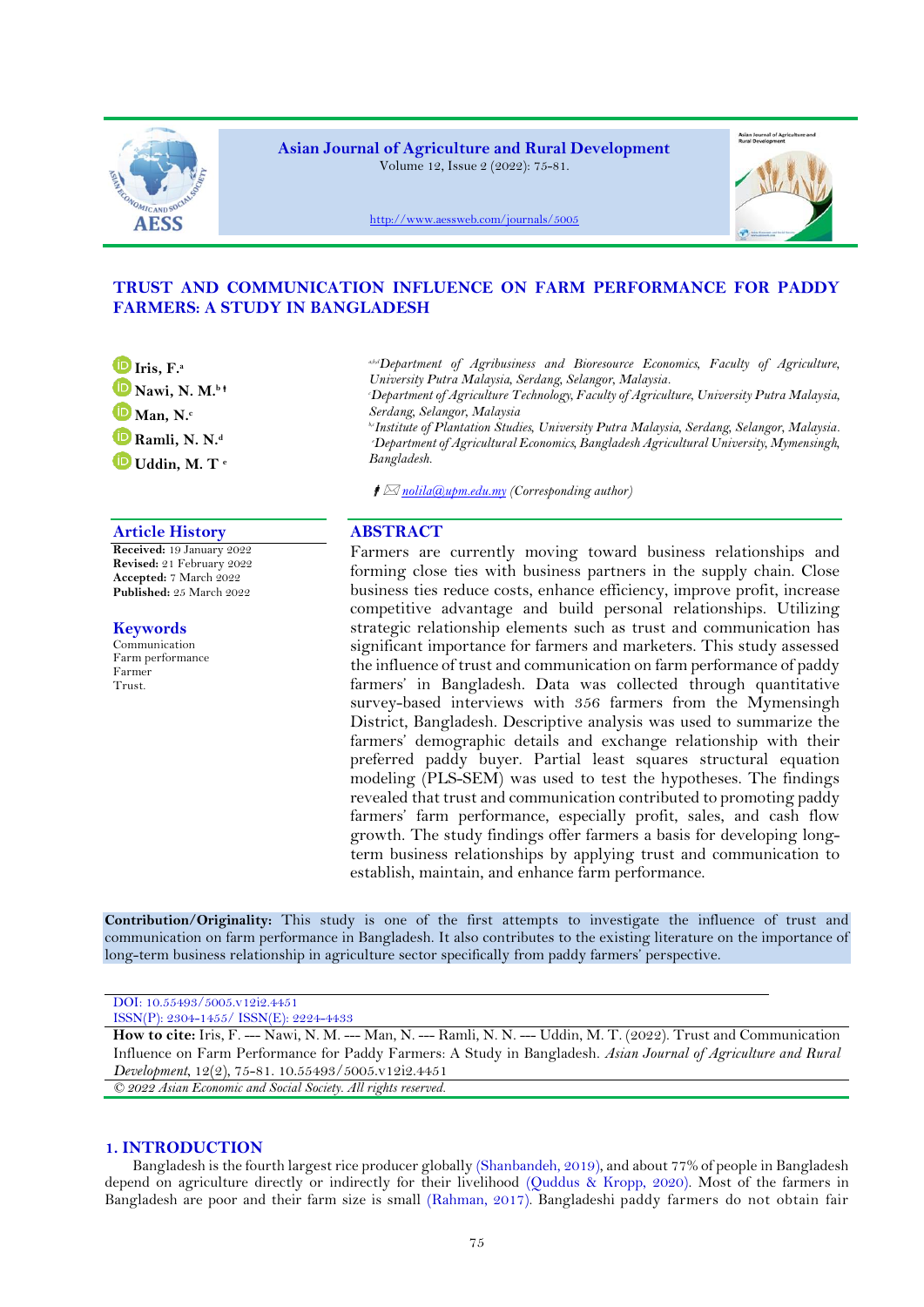

**Asian Journal of Agriculture and Rural Development** Volume 12, Issue 2 (2022): 75-81.



<http://www.aessweb.com/journals/5005>



# **TRUST AND COMMUNICATION INFLUENCE ON FARM PERFORMANCE FOR PADDY FARMERS: A STUDY IN BANGLADESH**

**[I](https://orcid.org/0000-0002-7474-1552)ris, F.<sup>a</sup> [N](https://orcid.org/0000-0002-5865-3085)awi, N. M.<sup>b</sup> [M](https://orcid.org/0000-0001-6639-6720)an, N.<sup>c</sup> [R](https://orcid.org/0000-0002-7073-8161)amli, N. N.<sup>d</sup> [U](https://orcid.org/0000-0001-9809-6263)ddin, M. T <sup>e</sup>**

## **Article History ABSTRACT**

**Received:** 19 January 2022 **Revised:** 21 February 2022 **Accepted:** 7 March 2022 **Published:** 25 March 2022

**Keywords** Communication Farm performance Farmer Trust.

*a,b,dDepartment of Agribusiness and Bioresource Economics, Faculty of Agriculture, University Putra Malaysia, Serdang, Selangor, Malaysia.*

*<sup>c</sup>Department of Agriculture Technology, Faculty of Agriculture, University Putra Malaysia, Serdang, Selangor, Malaysia*

*b,cInstitute of Plantation Studies, University Putra Malaysia, Serdang, Selangor, Malaysia. <sup>e</sup>Department of Agricultural Economics, Bangladesh Agricultural University, Mymensingh, Bangladesh.*

*[nolila@upm.edu.my](mailto:nolila@upm.edu.my) (Corresponding author)*

Farmers are currently moving toward business relationships and forming close ties with business partners in the supply chain. Close business ties reduce costs, enhance efficiency, improve profit, increase competitive advantage and build personal relationships. Utilizing strategic relationship elements such as trust and communication has significant importance for farmers and marketers. This study assessed the influence of trust and communication on farm performance of paddy farmers' in Bangladesh. Data was collected through quantitative survey-based interviews with 356 farmers from the Mymensingh District, Bangladesh. Descriptive analysis was used to summarize the farmers' demographic details and exchange relationship with their preferred paddy buyer. Partial least squares structural equation modeling (PLS-SEM) was used to test the hypotheses. The findings revealed that trust and communication contributed to promoting paddy farmers' farm performance, especially profit, sales, and cash flow growth. The study findings offer farmers a basis for developing longterm business relationships by applying trust and communication to establish, maintain, and enhance farm performance.

**Contribution/Originality:** This study is one of the first attempts to investigate the influence of trust and communication on farm performance in Bangladesh. It also contributes to the existing literature on the importance of long-term business relationship in agriculture sector specifically from paddy farmers' perspective.

| DOI: 10.55493/5005.v12i2.4451                                                                                       |
|---------------------------------------------------------------------------------------------------------------------|
| $ISSN(P): 2304-1455/$ $ISSN(E): 2224-4433$                                                                          |
| How to cite: Iris, F. --- Nawi, N. M. --- Man, N. --- Ramli, N. N. --- Uddin, M. T. (2022). Trust and Communication |
| Influence on Farm Performance for Paddy Farmers: A Study in Bangladesh. Asian Journal of Agriculture and Rural      |
| Development, $12(2)$ , 75-81. 10.55493/5005.v12i2.4451                                                              |

*© 2022 Asian Economic and Social Society. All rights reserved.*

# **1. INTRODUCTION**

Bangladesh is the fourth largest rice producer globally [\(Shanbandeh, 2019\)](#page-6-0), and about 77% of people in Bangladesh depend on agriculture directly or indirectly for their livelihood [\(Quddus & Kropp, 2020\)](#page-6-1). Most of the farmers in Bangladesh are poor and their farm size is small [\(Rahman, 2017\)](#page-6-2). Bangladeshi paddy farmers do not obtain fair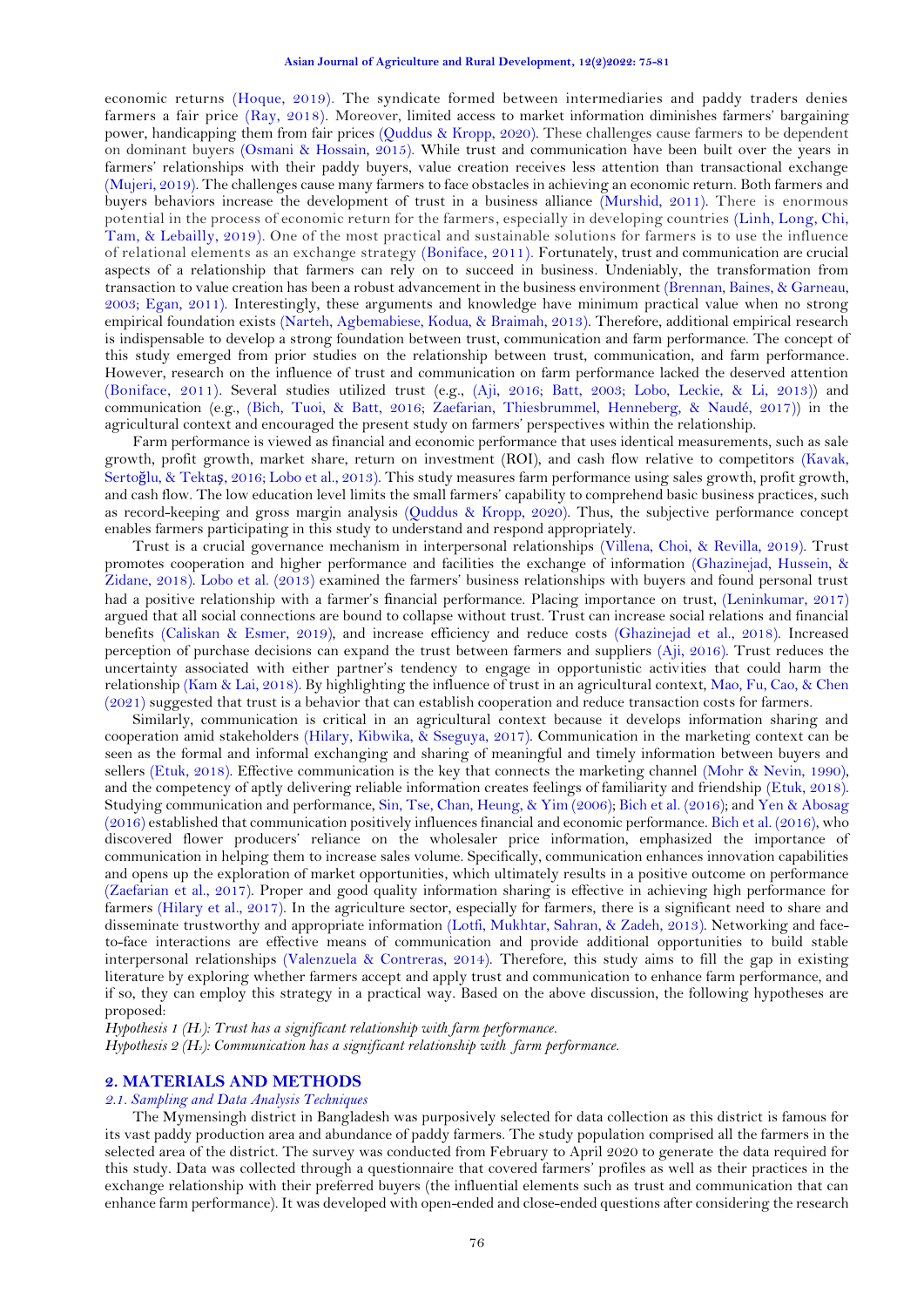economic returns [\(Hoque, 2019\)](#page-5-0). The syndicate formed between intermediaries and paddy traders denies farmers a fair price [\(Ray, 2018\)](#page-6-3). Moreover, limited access to market information diminishes farmers' bargaining power, handicapping them from fair prices [\(Quddus & Kropp, 2020\)](#page-6-1). These challenges cause farmers to be dependent on dominant buyers [\(Osmani & Hossain, 2015\)](#page-5-1). While trust and communication have been built over the years in farmers' relationships with their paddy buyers, value creation receives less attention than transactional exchange [\(Mujeri, 2019\)](#page-5-2). The challenges cause many farmers to face obstacles in achieving an economic return. Both farmers and buyers behaviors increase the development of trust in a business alliance [\(Murshid, 2011\)](#page-5-3). There is enormous potential in the process of economic return for the farmers, especially in developing countries [\(Linh, Long, Chi,](#page-5-4)  [Tam, & Lebailly, 2019\)](#page-5-4). One of the most practical and sustainable solutions for farmers is to use the influence of relational elements as an exchange strategy [\(Boniface, 2011\)](#page-5-5). Fortunately, trust and communication are crucial aspects of a relationship that farmers can rely on to succeed in business. Undeniably, the transformation from transaction to value creation has been a robust advancement in the business environment [\(Brennan, Baines, & Garneau,](#page-5-6)  [2003;](#page-5-6) [Egan, 2011\)](#page-5-7). Interestingly, these arguments and knowledge have minimum practical value when no strong empirical foundation exists [\(Narteh, Agbemabiese, Kodua, & Braimah, 2013\)](#page-5-8). Therefore, additional empirical research is indispensable to develop a strong foundation between trust, communication and farm performance. The concept of this study emerged from prior studies on the relationship between trust, communication, and farm performance. However, research on the influence of trust and communication on farm performance lacked the deserved attention [\(Boniface, 2011\)](#page-5-5). Several studies utilized trust (e.g., [\(Aji, 2016;](#page-5-9) [Batt, 2003;](#page-5-10) [Lobo, Leckie, & Li, 2013\)](#page-5-11)) and communication (e.g., [\(Bich, Tuoi, & Batt, 2016;](#page-5-12) [Zaefarian, Thiesbrummel, Henneberg, & Naudé, 2017\)](#page-6-4)) in the agricultural context and encouraged the present study on farmers' perspectives within the relationship.

Farm performance is viewed as financial and economic performance that uses identical measurements, such as sale growth, profit growth, market share, return on investment (ROI), and cash flow relative to competitors [\(Kavak,](#page-5-13)  Sertoğ[lu, & Tekta](#page-5-13)ş, 2016[; Lobo et al., 2013\)](#page-5-11). This study measures farm performance using sales growth, profit growth, and cash flow. The low education level limits the small farmers' capability to comprehend basic business practices, such as record-keeping and gross margin analysis [\(Quddus & Kropp, 2020\)](#page-6-1). Thus, the subjective performance concept enables farmers participating in this study to understand and respond appropriately.

Trust is a crucial governance mechanism in interpersonal relationships [\(Villena, Choi, & Revilla, 2019\)](#page-6-5). Trust promotes cooperation and higher performance and facilities the exchange of information [\(Ghazinejad, Hussein, &](#page-5-14)  [Zidane, 2018\)](#page-5-14). [Lobo et al. \(2013\)](#page-5-11) examined the farmers' business relationships with buyers and found personal trust had a positive relationship with a farmer's financial performance. Placing importance on trust, [\(Leninkumar, 2017\)](#page-5-15) argued that all social connections are bound to collapse without trust. Trust can increase social relations and financial benefits [\(Caliskan & Esmer, 2019\)](#page-5-16), and increase efficiency and reduce costs [\(Ghazinejad et al., 2018\)](#page-5-14). Increased perception of purchase decisions can expand the trust between farmers and suppliers [\(Aji, 2016\)](#page-5-9). Trust reduces the uncertainty associated with either partner's tendency to engage in opportunistic activities that could harm the relationship [\(Kam & Lai, 2018\)](#page-5-17). By highlighting the influence of trust in an agricultural context[, Mao, Fu, Cao, &](#page-5-18) Chen [\(2021\)](#page-5-18) suggested that trust is a behavior that can establish cooperation and reduce transaction costs for farmers.

Similarly, communication is critical in an agricultural context because it develops information sharing and cooperation amid stakeholders [\(Hilary, Kibwika, & Sseguya, 2017\)](#page-5-19). Communication in the marketing context can be seen as the formal and informal exchanging and sharing of meaningful and timely information between buyers and sellers [\(Etuk, 2018\)](#page-5-20). Effective communication is the key that connects the marketing channel [\(Mohr & Nevin, 1990\)](#page-5-21), and the competency of aptly delivering reliable information creates feelings of familiarity and friendship [\(Etuk, 2018\)](#page-5-20). Studying communication and performance, [Sin, Tse, Chan, Heung, &](#page-6-6) Yim (2006); [Bich et al. \(2016\)](#page-5-12); and Yen & [Abosag](#page-6-7)  [\(2016\)](#page-6-7) established that communication positively influences financial and economic performance[. Bich et al. \(2016\)](#page-5-12), who discovered flower producers' reliance on the wholesaler price information, emphasized the importance of communication in helping them to increase sales volume. Specifically, communication enhances innovation capabilities and opens up the exploration of market opportunities, which ultimately results in a positive outcome on performance [\(Zaefarian et al., 2017\)](#page-6-4). Proper and good quality information sharing is effective in achieving high performance for farmers [\(Hilary et al., 2017\)](#page-5-19). In the agriculture sector, especially for farmers, there is a significant need to share and disseminate trustworthy and appropriate information [\(Lotfi, Mukhtar, Sahran, & Zadeh, 2013\)](#page-5-22). Networking and faceto-face interactions are effective means of communication and provide additional opportunities to build stable interpersonal relationships [\(Valenzuela & Contreras, 2014\)](#page-6-8). Therefore, this study aims to fill the gap in existing literature by exploring whether farmers accept and apply trust and communication to enhance farm performance, and if so, they can employ this strategy in a practical way. Based on the above discussion, the following hypotheses are proposed:

*Hypothesis 1 (H1): Trust has a significant relationship with farm performance. Hypothesis 2 (H2): Communication has a significant relationship with farm performance.*

## **2. MATERIALS AND METHODS**

## *2.1. Sampling and Data Analysis Techniques*

The Mymensingh district in Bangladesh was purposively selected for data collection as this district is famous for its vast paddy production area and abundance of paddy farmers. The study population comprised all the farmers in the selected area of the district. The survey was conducted from February to April 2020 to generate the data required for this study. Data was collected through a questionnaire that covered farmers' profiles as well as their practices in the exchange relationship with their preferred buyers (the influential elements such as trust and communication that can enhance farm performance). It was developed with open-ended and close-ended questions after considering the research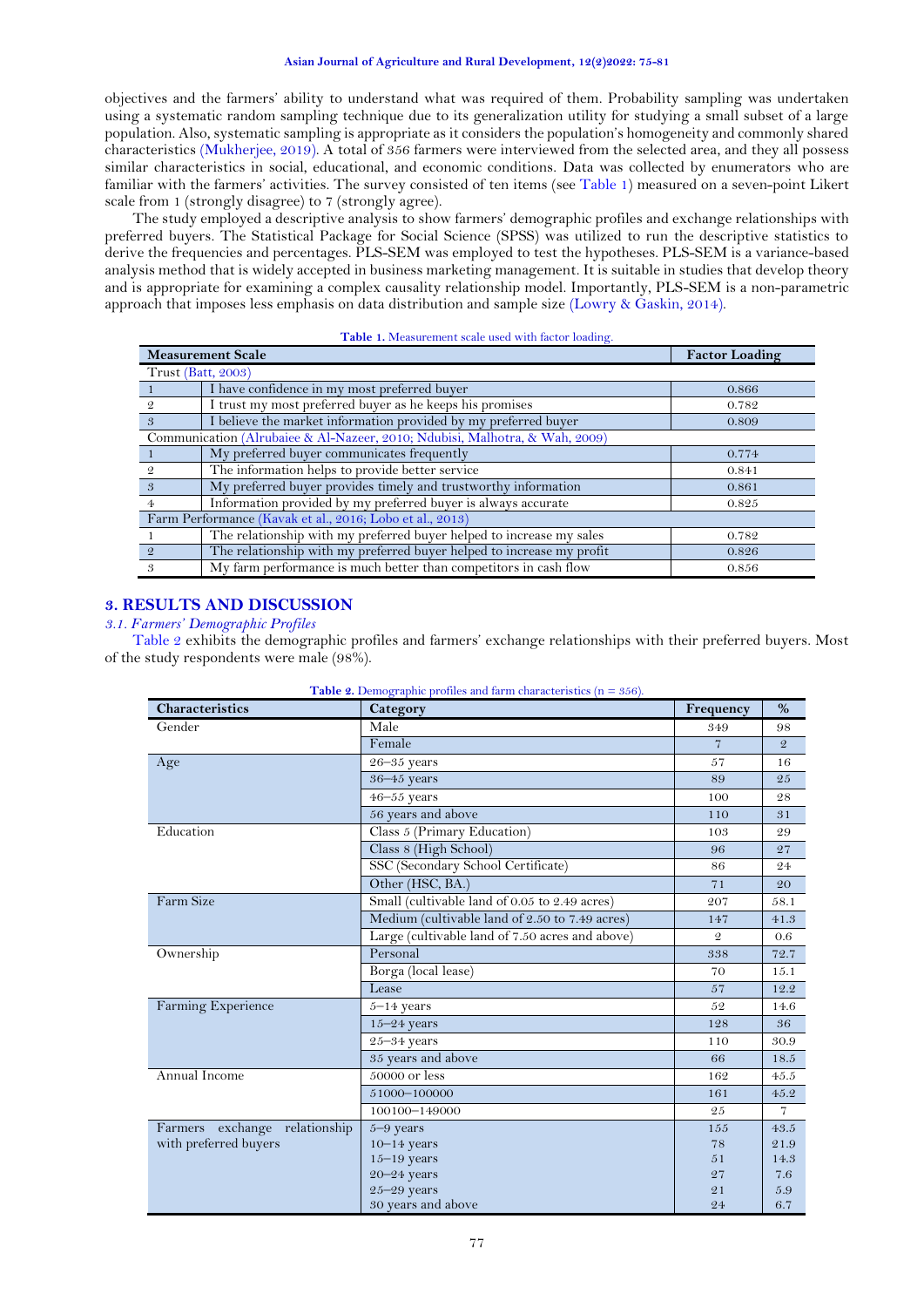## **Asian Journal of Agriculture and Rural Development, 12(2)2022: 75-81**

objectives and the farmers' ability to understand what was required of them. Probability sampling was undertaken using a systematic random sampling technique due to its generalization utility for studying a small subset of a large population. Also, systematic sampling is appropriate as it considers the population's homogeneity and commonly shared characteristics [\(Mukherjee, 2019\)](#page-5-23). A total of 356 farmers were interviewed from the selected area, and they all possess similar characteristics in social, educational, and economic conditions. Data was collected by enumerators who are familiar with the farmers' activities. The survey consisted of ten items (see [Table 1\)](#page-2-0) measured on a seven-point Likert scale from 1 (strongly disagree) to 7 (strongly agree).

The study employed a descriptive analysis to show farmers' demographic profiles and exchange relationships with preferred buyers. The Statistical Package for Social Science (SPSS) was utilized to run the descriptive statistics to derive the frequencies and percentages. PLS-SEM was employed to test the hypotheses. PLS-SEM is a variance-based analysis method that is widely accepted in business marketing management. It is suitable in studies that develop theory and is appropriate for examining a complex causality relationship model. Importantly, PLS-SEM is a non-parametric approach that imposes less emphasis on data distribution and sample size [\(Lowry & Gaskin, 2014\)](#page-5-24).

<span id="page-2-0"></span>

| <b>Measurement Scale</b>                                                    | <b>Factor Loading</b>                                                 |       |  |  |
|-----------------------------------------------------------------------------|-----------------------------------------------------------------------|-------|--|--|
| <b>Trust (Batt, 2003)</b>                                                   |                                                                       |       |  |  |
|                                                                             | I have confidence in my most preferred buyer                          | 0.866 |  |  |
| 9.                                                                          | I trust my most preferred buyer as he keeps his promises              | 0.782 |  |  |
| $\mathcal{S}$                                                               | I believe the market information provided by my preferred buyer       | 0.809 |  |  |
| Communication (Alrubaiee & Al-Nazeer, 2010; Ndubisi, Malhotra, & Wah, 2009) |                                                                       |       |  |  |
|                                                                             | My preferred buyer communicates frequently                            | 0.774 |  |  |
| 9.                                                                          | The information helps to provide better service                       | 0.841 |  |  |
| 3                                                                           | My preferred buyer provides timely and trustworthy information        | 0.861 |  |  |
| $\overline{4}$                                                              | Information provided by my preferred buyer is always accurate         | 0.825 |  |  |
| Farm Performance (Kavak et al., 2016; Lobo et al., 2013)                    |                                                                       |       |  |  |
|                                                                             | The relationship with my preferred buyer helped to increase my sales  | 0.782 |  |  |
| $\overline{2}$                                                              | The relationship with my preferred buyer helped to increase my profit | 0.826 |  |  |
| $\mathcal{S}$                                                               | My farm performance is much better than competitors in cash flow      | 0.856 |  |  |

# **Table 1.** Measurement scale used with factor loading.

# **3. RESULTS AND DISCUSSION**

## *3.1. Farmers' Demographic Profiles*

<span id="page-2-1"></span>[Table 2](#page-2-1) exhibits the demographic profiles and farmers' exchange relationships with their preferred buyers. Most of the study respondents were male (98%).

| <b>Characteristics</b>        | Category                                        | Frequency      | $\%$           |
|-------------------------------|-------------------------------------------------|----------------|----------------|
| Gender                        | Male                                            | 349            | 98             |
|                               | Female                                          | $\overline{7}$ | $\mathfrak{D}$ |
| Age                           | $26 - 35$ years                                 | 57             | 16             |
|                               | $36 - 45$ years                                 | 89             | 25             |
|                               | $46 - 55$ years                                 | 100            | 28             |
|                               | 56 years and above                              | 110            | 31             |
| Education                     | Class 5 (Primary Education)                     | 103            | 29             |
|                               | Class 8 (High School)                           | 96             | 27             |
|                               | SSC (Secondary School Certificate)              | 86             | 24             |
|                               | Other (HSC, BA.)                                | 71             | 20             |
| Farm Size                     | Small (cultivable land of 0.05 to 2.49 acres)   | 207            | 58.1           |
|                               | Medium (cultivable land of 2.50 to 7.49 acres)  | 147            | 41.3           |
|                               | Large (cultivable land of 7.50 acres and above) | $\mathcal{Q}$  | 0.6            |
| Ownership                     | Personal                                        | 338            | 72.7           |
|                               | Borga (local lease)                             | 70             | 15.1           |
|                               | Lease                                           | 57             | 12.2           |
| Farming Experience            | $5-14$ years                                    | 52             | 14.6           |
|                               | $15 - 24$ years                                 | 128            | 36             |
|                               | $25 - 34$ years                                 | 110            | 30.9           |
|                               | 35 years and above                              | 66             | 18.5           |
| Annual Income                 | 50000 or less                                   | 162            | 45.5           |
|                               | 51000-100000                                    | 161            | 45.2           |
|                               | 100100-149000                                   | 25             | $\overline{7}$ |
| Farmers exchange relationship | $5 - 9$ years                                   | 155            | 43.5           |
| with preferred buyers         | $10-14$ years                                   | 78             | 21.9           |
|                               | $15 - 19$ years                                 | 51             | 14.3           |
|                               | $20 - 24$ years                                 | 27             | 7.6            |
|                               | $25 - 29$ years                                 | 21             | 5.9            |
|                               | 30 years and above                              | 24             | 6.7            |

**Table 2.** Demographic profiles and farm characteristics (n = 356).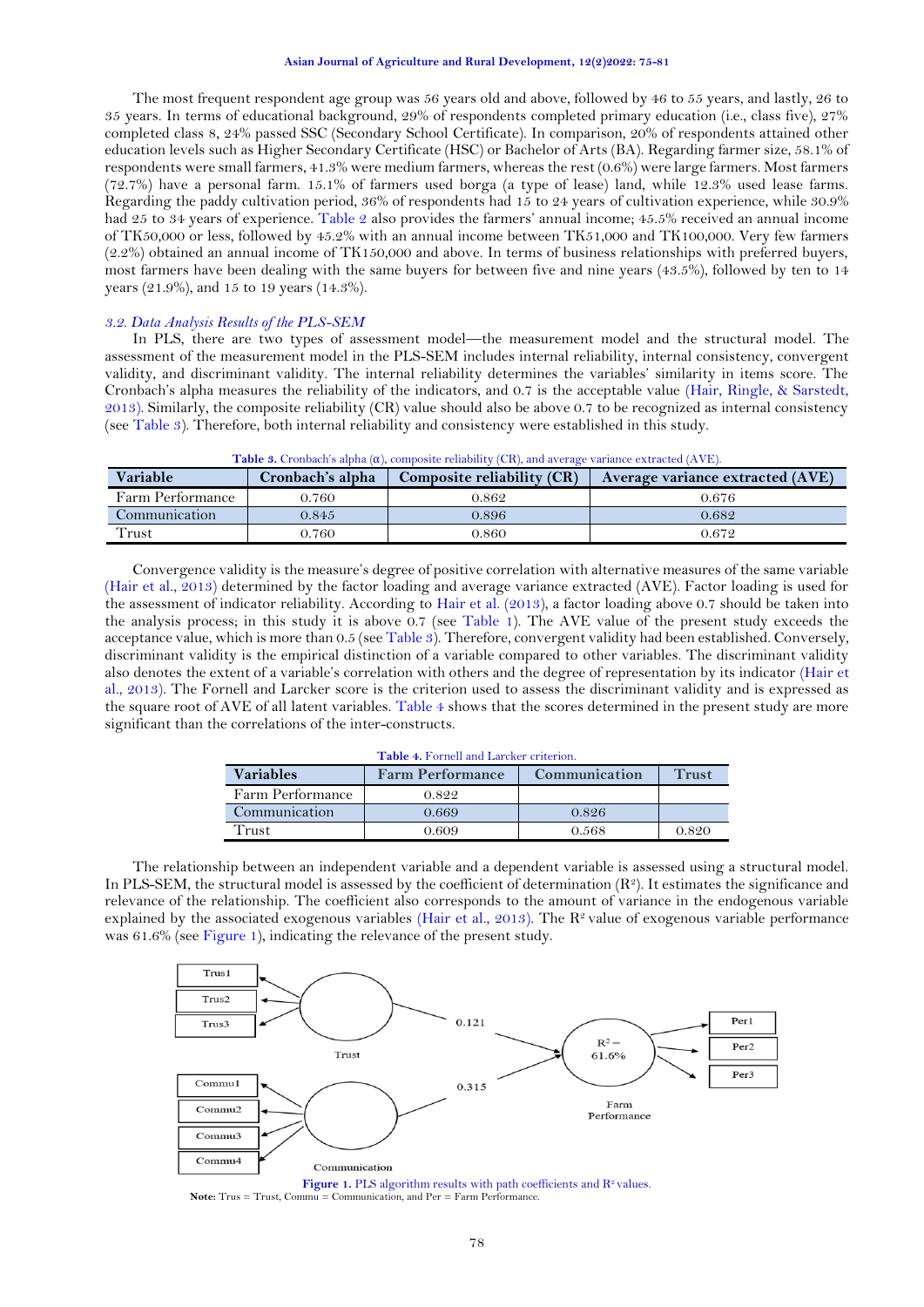#### **Asian Journal of Agriculture and Rural Development, 12(2)2022: 75-81**

The most frequent respondent age group was 56 years old and above, followed by 46 to 55 years, and lastly, 26 to 35 years. In terms of educational background, 29% of respondents completed primary education (i.e., class five), 27% completed class 8, 24% passed SSC (Secondary School Certificate). In comparison, 20% of respondents attained other education levels such as Higher Secondary Certificate (HSC) or Bachelor of Arts (BA). Regarding farmer size, 58.1% of respondents were small farmers, 41.3% were medium farmers, whereas the rest (0.6%) were large farmers. Most farmers (72.7%) have a personal farm. 15.1% of farmers used borga (a type of lease) land, while 12.3% used lease farms. Regarding the paddy cultivation period, 36% of respondents had 15 to 24 years of cultivation experience, while 30.9% had 25 to 34 years of experience. [Table 2](#page-2-1) also provides the farmers' annual income; 45.5% received an annual income of TK50,000 or less, followed by 45.2% with an annual income between TK51,000 and TK100,000. Very few farmers (2.2%) obtained an annual income of TK150,000 and above. In terms of business relationships with preferred buyers, most farmers have been dealing with the same buyers for between five and nine years (43.5%), followed by ten to 14 years (21.9%), and 15 to 19 years (14.3%).

## *3.2. Data Analysis Results of the PLS-SEM*

In PLS, there are two types of assessment model—the measurement model and the structural model. The assessment of the measurement model in the PLS-SEM includes internal reliability, internal consistency, convergent validity, and discriminant validity. The internal reliability determines the variables' similarity in items score. The Cronbach's alpha measures the reliability of the indicators, and 0.7 is the acceptable value [\(Hair, Ringle, & Sarstedt,](#page-5-27)  [2013\)](#page-5-27). Similarly, the composite reliability (CR) value should also be above 0.7 to be recognized as internal consistency (see [Table 3\)](#page-3-0). Therefore, both internal reliability and consistency were established in this study.

<span id="page-3-0"></span>

| <b>Table 3.</b> Cronbach's alpha $(\alpha)$ , composite reliability (CR), and average variance extracted (AVE). |                  |                            |                                  |  |  |
|-----------------------------------------------------------------------------------------------------------------|------------------|----------------------------|----------------------------------|--|--|
| Variable                                                                                                        | Cronbach's alpha | Composite reliability (CR) | Average variance extracted (AVE) |  |  |
| Farm Performance                                                                                                | 0.760            | 0.862                      | 0.676                            |  |  |
| Communication                                                                                                   | 0.845            | 0.896                      | 0.682                            |  |  |
| Trust                                                                                                           | 0.760            | 0.860                      | 0.672                            |  |  |

Convergence validity is the measure's degree of positive correlation with alternative measures of the same variable [\(Hair et al., 2013\)](#page-5-27) determined by the factor loading and average variance extracted (AVE). Factor loading is used for the assessment of indicator reliability. According to [Hair et al. \(2013\)](#page-5-27), a factor loading above 0.7 should be taken into the analysis process; in this study it is above 0.7 (see [Table 1\)](#page-2-0). The AVE value of the present study exceeds the acceptance value, which is more than 0.5 (see [Table 3\)](#page-3-0). Therefore, convergent validity had been established. Conversely, discriminant validity is the empirical distinction of a variable compared to other variables. The discriminant validity also denotes the extent of a variable's correlation with others and the degree of representation by its indicator [\(Hair et](#page-5-27)  [al., 2013\)](#page-5-27). The Fornell and Larcker score is the criterion used to assess the discriminant validity and is expressed as the square root of AVE of all latent variables. [Table 4](#page-3-1) shows that the scores determined in the present study are more significant than the correlations of the inter-constructs.

| <b>Table 4. Fornell and Larcker criterion.</b> |                         |               |       |  |  |
|------------------------------------------------|-------------------------|---------------|-------|--|--|
| <b>Variables</b>                               | <b>Farm Performance</b> | Communication | Trust |  |  |
| Farm Performance                               | 0.822                   |               |       |  |  |
| Communication                                  | 0.669                   | 0.826         |       |  |  |
| Trust                                          | 0.609                   | 0.568         | 0.820 |  |  |

<span id="page-3-1"></span>The relationship between an independent variable and a dependent variable is assessed using a structural model. In PLS-SEM, the structural model is assessed by the coefficient of determination  $(R^2)$ . It estimates the significance and relevance of the relationship. The coefficient also corresponds to the amount of variance in the endogenous variable explained by the associated exogenous variables [\(Hair et al., 2013\)](#page-5-27). The  $\mathbb{R}^2$  value of exogenous variable performance was 61.6% (see [Figure 1\)](#page-3-2), indicating the relevance of the present study.



<span id="page-3-2"></span>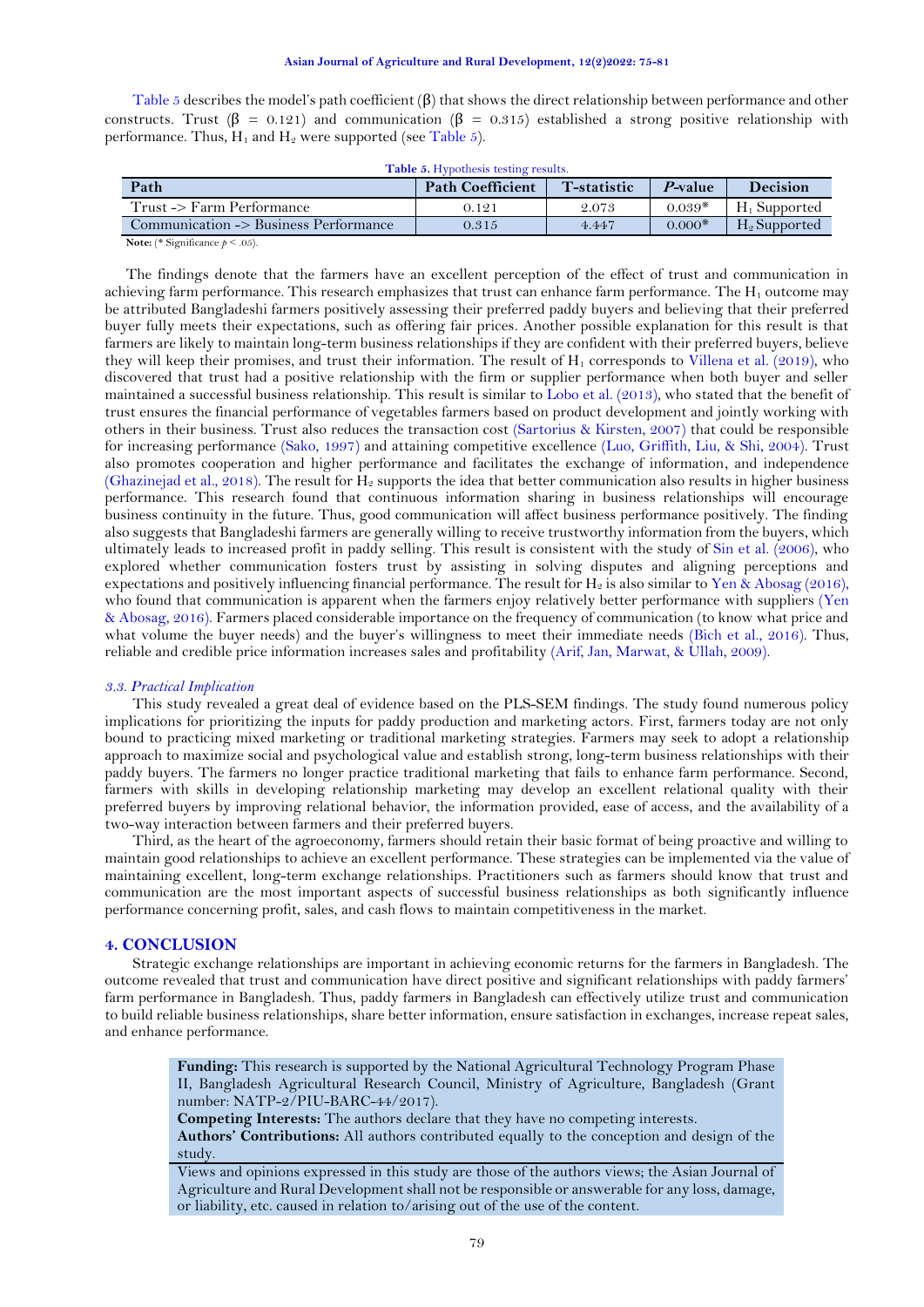[Table 5](#page-4-0) describes the model's path coefficient (β) that shows the direct relationship between performance and other constructs. Trust ( $\beta = 0.121$ ) and communication ( $\beta = 0.315$ ) established a strong positive relationship with performance. Thus,  $H_1$  and  $H_2$  were supported (see [Table 5\)](#page-4-0).

<span id="page-4-0"></span>

| <b>T</b> -statistic<br>$P$ -value | <b>Decision</b> |
|-----------------------------------|-----------------|
| $0.039*$<br>2.073                 | $H_1$ Supported |
| $0.000*$<br>4.447                 | $H_2$ Supported |
|                                   |                 |

**Table 5.** Hypothesis testing results.

**Note:** (\* Significance  $p \leq .05$ ).

The findings denote that the farmers have an excellent perception of the effect of trust and communication in achieving farm performance. This research emphasizes that trust can enhance farm performance. The  $H_1$  outcome may be attributed Bangladeshi farmers positively assessing their preferred paddy buyers and believing that their preferred buyer fully meets their expectations, such as offering fair prices. Another possible explanation for this result is that farmers are likely to maintain long-term business relationships if they are confident with their preferred buyers, believe they will keep their promises, and trust their information. The result of  $H_1$  corresponds to [Villena et al. \(2019\)](#page-6-5), who discovered that trust had a positive relationship with the firm or supplier performance when both buyer and seller maintained a successful business relationship. This result is similar to [Lobo et al. \(2013\)](#page-5-11), who stated that the benefit of trust ensures the financial performance of vegetables farmers based on product development and jointly working with others in their business. Trust also reduces the transaction cost [\(Sartorius & Kirsten, 2007\)](#page-6-9) that could be responsible for increasing performance [\(Sako, 1997\)](#page-6-10) and attaining competitive excellence [\(Luo, Griffith, Liu, & Shi, 2004\)](#page-5-28). Trust also promotes cooperation and higher performance and facilitates the exchange of information, and independence [\(Ghazinejad et al., 2018\)](#page-5-14). The result for  $H_2$  supports the idea that better communication also results in higher business performance. This research found that continuous information sharing in business relationships will encourage business continuity in the future. Thus, good communication will affect business performance positively. The finding also suggests that Bangladeshi farmers are generally willing to receive trustworthy information from the buyers, which ultimately leads to increased profit in paddy selling. This result is consistent with the study of [Sin et al. \(2006\)](#page-6-6), who explored whether communication fosters trust by assisting in solving disputes and aligning perceptions and expectations and positively influencing financial performance. The result for  $H_2$  is also similar to Yen & [Abosag \(2016\)](#page-6-7), who found that communication is apparent when the farmers enjoy relatively better performance with suppliers [\(Yen](#page-6-7)  [& Abosag, 2016\)](#page-6-7). Farmers placed considerable importance on the frequency of communication (to know what price and what volume the buyer needs) and the buyer's willingness to meet their immediate needs [\(Bich et al., 2016\)](#page-5-12). Thus, reliable and credible price information increases sales and profitability [\(Arif, Jan, Marwat, & Ullah, 2009\)](#page-5-29).

## *3.3. Practical Implication*

This study revealed a great deal of evidence based on the PLS-SEM findings. The study found numerous policy implications for prioritizing the inputs for paddy production and marketing actors. First, farmers today are not only bound to practicing mixed marketing or traditional marketing strategies. Farmers may seek to adopt a relationship approach to maximize social and psychological value and establish strong, long-term business relationships with their paddy buyers. The farmers no longer practice traditional marketing that fails to enhance farm performance. Second, farmers with skills in developing relationship marketing may develop an excellent relational quality with their preferred buyers by improving relational behavior, the information provided, ease of access, and the availability of a two-way interaction between farmers and their preferred buyers.

Third, as the heart of the agroeconomy, farmers should retain their basic format of being proactive and willing to maintain good relationships to achieve an excellent performance. These strategies can be implemented via the value of maintaining excellent, long-term exchange relationships. Practitioners such as farmers should know that trust and communication are the most important aspects of successful business relationships as both significantly influence performance concerning profit, sales, and cash flows to maintain competitiveness in the market.

#### **4. CONCLUSION**

Strategic exchange relationships are important in achieving economic returns for the farmers in Bangladesh. The outcome revealed that trust and communication have direct positive and significant relationships with paddy farmers' farm performance in Bangladesh. Thus, paddy farmers in Bangladesh can effectively utilize trust and communication to build reliable business relationships, share better information, ensure satisfaction in exchanges, increase repeat sales, and enhance performance.

**Funding:** This research is supported by the National Agricultural Technology Program Phase II, Bangladesh Agricultural Research Council, Ministry of Agriculture, Bangladesh (Grant number: NATP-2/PIU-BARC-44/2017).

**Competing Interests:** The authors declare that they have no competing interests. **Authors' Contributions:** All authors contributed equally to the conception and design of the study.

Views and opinions expressed in this study are those of the authors views; the Asian Journal of Agriculture and Rural Development shall not be responsible or answerable for any loss, damage, or liability, etc. caused in relation to/arising out of the use of the content.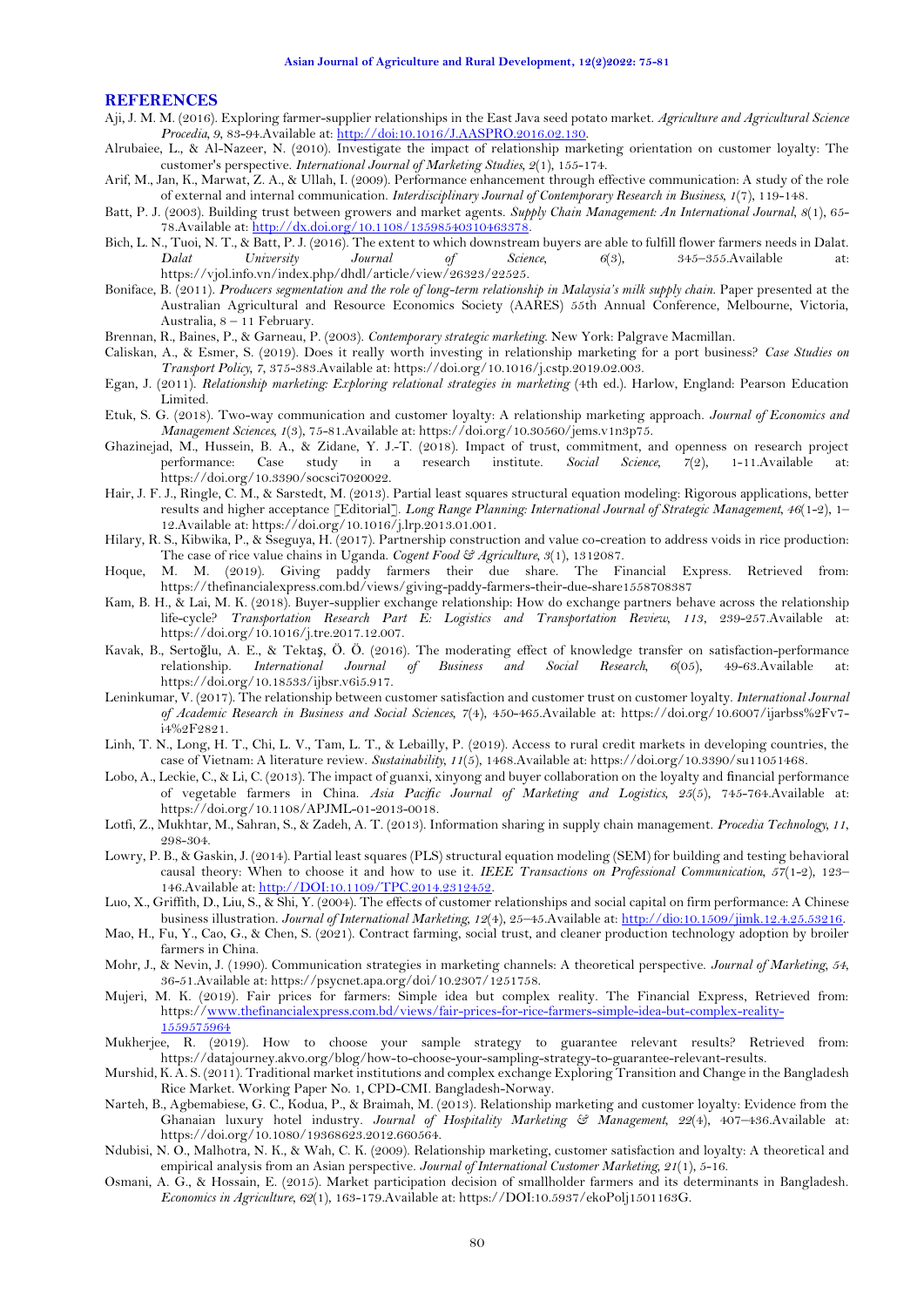#### **REFERENCES**

- <span id="page-5-9"></span>Aji, J. M. M. (2016). Exploring farmer-supplier relationships in the East Java seed potato market. *Agriculture and Agricultural Science Procedia, 9*, 83-94.Available at: [http://doi:10.1016/J.AASPRO.2016.02.130.](http://doi:10.1016/J.AASPRO.2016.02.130)
- <span id="page-5-25"></span>Alrubaiee, L., & Al-Nazeer, N. (2010). Investigate the impact of relationship marketing orientation on customer loyalty: The customer's perspective. *International Journal of Marketing Studies, 2*(1), 155-174.
- <span id="page-5-29"></span>Arif, M., Jan, K., Marwat, Z. A., & Ullah, I. (2009). Performance enhancement through effective communication: A study of the role of external and internal communication. *Interdisciplinary Journal of Contemporary Research in Business, 1*(7), 119-148.
- <span id="page-5-10"></span>Batt, P. J. (2003). Building trust between growers and market agents. *Supply Chain Management: An International Journal, 8*(1), 65- 78.Available at[: http://dx.doi.org/10.1108/13598540310463378.](http://dx.doi.org/10.1108/13598540310463378)
- <span id="page-5-12"></span>Bich, L. N., Tuoi, N. T., & Batt, P. J. (2016). The extent to which downstream buyers are able to fulfill flower farmers needs in Dalat. *Dalat University Journal of Science, 6*(3), 345–355.Available at: https://vjol.info.vn/index.php/dhdl/article/view/26323/22525.
- <span id="page-5-5"></span>Boniface, B. (2011). *Producers segmentation and the role of long-term relationship in Malaysia's milk supply chain*. Paper presented at the Australian Agricultural and Resource Economics Society (AARES) 55th Annual Conference, Melbourne, Victoria, Australia, 8 – 11 February.
- <span id="page-5-6"></span>Brennan, R., Baines, P., & Garneau, P. (2003). *Contemporary strategic marketing*. New York: Palgrave Macmillan.
- <span id="page-5-16"></span>Caliskan, A., & Esmer, S. (2019). Does it really worth investing in relationship marketing for a port business? *Case Studies on Transport Policy, 7*, 375-383.Available at: https://doi.org/10.1016/j.cstp.2019.02.003.
- <span id="page-5-7"></span>Egan, J. (2011). *Relationship marketing: Exploring relational strategies in marketing* (4th ed.). Harlow, England: Pearson Education Limited.
- <span id="page-5-20"></span>Etuk, S. G. (2018). Two-way communication and customer loyalty: A relationship marketing approach. *Journal of Economics and Management Sciences, 1*(3), 75-81.Available at: https://doi.org/10.30560/jems.v1n3p75.
- <span id="page-5-14"></span>Ghazinejad, M., Hussein, B. A., & Zidane, Y. J.-T. (2018). Impact of trust, commitment, and openness on research project performance: Case study in a research institute. Social Science, 7(2), 1-11. Available at: performance: Case study in a research institute. Social Science, 7(2), 1-11.Available at: https://doi.org/10.3390/socsci7020022.
- <span id="page-5-27"></span>Hair, J. F. J., Ringle, C. M., & Sarstedt, M. (2013). Partial least squares structural equation modeling: Rigorous applications, better results and higher acceptance [Editorial]. *Long Range Planning: International Journal of Strategic Management, 46*(1-2), 1– 12.Available at: https://doi.org/10.1016/j.lrp.2013.01.001.
- <span id="page-5-19"></span>Hilary, R. S., Kibwika, P., & Sseguya, H. (2017). Partnership construction and value co-creation to address voids in rice production: The case of rice value chains in Uganda. *Cogent Food & Agriculture, 3*(1), 1312087.
- <span id="page-5-0"></span>Hoque, M. M. (2019). Giving paddy farmers their due share. The Financial Express. Retrieved from: https://thefinancialexpress.com.bd/views/giving-paddy-farmers-their-due-share1558708387
- <span id="page-5-17"></span>Kam, B. H., & Lai, M. K. (2018). Buyer-supplier exchange relationship: How do exchange partners behave across the relationship life-cycle? *Transportation Research Part E: Logistics and Transportation Review, 113*, 239-257.Available at: https://doi.org/10.1016/j.tre.2017.12.007.
- <span id="page-5-13"></span>Kavak, B., Sertoğlu, A. E., & Tektaş, Ö. Ö. (2016). The moderating effect of knowledge transfer on satisfaction-performance relationship. *International Journal of Business and Social Research, 6*(05), 49-63.Available at: https://doi.org/10.18533/ijbsr.v6i5.917.
- <span id="page-5-15"></span>Leninkumar, V. (2017). The relationship between customer satisfaction and customer trust on customer loyalty. *International Journal of Academic Research in Business and Social Sciences, 7*(4), 450-465.Available at: https://doi.org/10.6007/ijarbss%2Fv7 i4%2F2821.
- <span id="page-5-4"></span>Linh, T. N., Long, H. T., Chi, L. V., Tam, L. T., & Lebailly, P. (2019). Access to rural credit markets in developing countries, the case of Vietnam: A literature review. *Sustainability, 11*(5), 1468.Available at: https://doi.org/10.3390/su11051468.
- <span id="page-5-11"></span>Lobo, A., Leckie, C., & Li, C. (2013). The impact of guanxi, xinyong and buyer collaboration on the loyalty and financial performance of vegetable farmers in China. *Asia Pacific Journal of Marketing and Logistics, 25*(5), 745-764.Available at: https://doi.org/10.1108/APJML-01-2013-0018.
- <span id="page-5-22"></span>Lotfi, Z., Mukhtar, M., Sahran, S., & Zadeh, A. T. (2013). Information sharing in supply chain management. *Procedia Technology, 11*, 298-304.
- <span id="page-5-24"></span>Lowry, P. B., & Gaskin, J. (2014). Partial least squares (PLS) structural equation modeling (SEM) for building and testing behavioral causal theory: When to choose it and how to use it. *IEEE Transactions on Professional Communication, 57*(1-2), 123– 146.Available at: [http://DOI:10.1109/TPC.2014.2312452.](http://DOI:10.1109/TPC.2014.2312452)
- <span id="page-5-28"></span>Luo, X., Griffith, D., Liu, S., & Shi, Y. (2004). The effects of customer relationships and social capital on firm performance: A Chinese business illustration. *Journal of International Marketing, 12*(4), 25–45.Available at[: http://dio:10.1509/jimk.12.4.25.53216.](http://dio:10.1509/jimk.12.4.25.53216)
- <span id="page-5-18"></span>Mao, H., Fu, Y., Cao, G., & Chen, S. (2021). Contract farming, social trust, and cleaner production technology adoption by broiler farmers in China.
- <span id="page-5-21"></span>Mohr, J., & Nevin, J. (1990). Communication strategies in marketing channels: A theoretical perspective. *Journal of Marketing, 54*, 36-51.Available at: https://psycnet.apa.org/doi/10.2307/1251758.
- <span id="page-5-2"></span>Mujeri, M. K. (2019). Fair prices for farmers: Simple idea but complex reality. The Financial Express, Retrieved from: https:/[/www.thefinancialexpress.com.bd/views/fair-prices-for-rice-farmers-simple-idea-but-complex-reality-](http://www.thefinancialexpress.com.bd/views/fair-prices-for-rice-farmers-simple-idea-but-complex-reality-1559575964)[1559575964](http://www.thefinancialexpress.com.bd/views/fair-prices-for-rice-farmers-simple-idea-but-complex-reality-1559575964)
- <span id="page-5-23"></span>Mukherjee, R. (2019). How to choose your sample strategy to guarantee relevant results? Retrieved from: https://datajourney.akvo.org/blog/how-to-choose-your-sampling-strategy-to-guarantee-relevant-results.
- <span id="page-5-3"></span>Murshid, K. A. S. (2011). Traditional market institutions and complex exchange Exploring Transition and Change in the Bangladesh Rice Market. Working Paper No. 1, CPD-CMI. Bangladesh-Norway.
- <span id="page-5-8"></span>Narteh, B., Agbemabiese, G. C., Kodua, P., & Braimah, M. (2013). Relationship marketing and customer loyalty: Evidence from the Ghanaian luxury hotel industry. *Journal of Hospitality Marketing & Management, 22*(4), 407–436.Available at: https://doi.org/10.1080/19368623.2012.660564.
- <span id="page-5-26"></span>Ndubisi, N. O., Malhotra, N. K., & Wah, C. K. (2009). Relationship marketing, customer satisfaction and loyalty: A theoretical and empirical analysis from an Asian perspective. *Journal of International Customer Marketing, 21*(1), 5-16.
- <span id="page-5-1"></span>Osmani, A. G., & Hossain, E. (2015). Market participation decision of smallholder farmers and its determinants in Bangladesh. *Economics in Agriculture, 62*(1), 163-179.Available at: https://DOI:10.5937/ekoPolj1501163G.